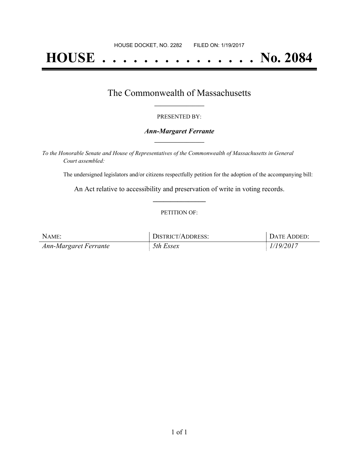# **HOUSE . . . . . . . . . . . . . . . No. 2084**

## The Commonwealth of Massachusetts **\_\_\_\_\_\_\_\_\_\_\_\_\_\_\_\_\_**

#### PRESENTED BY:

#### *Ann-Margaret Ferrante* **\_\_\_\_\_\_\_\_\_\_\_\_\_\_\_\_\_**

*To the Honorable Senate and House of Representatives of the Commonwealth of Massachusetts in General Court assembled:*

The undersigned legislators and/or citizens respectfully petition for the adoption of the accompanying bill:

An Act relative to accessibility and preservation of write in voting records. **\_\_\_\_\_\_\_\_\_\_\_\_\_\_\_**

#### PETITION OF:

| NAME:                 | <b>DISTRICT/ADDRESS:</b> | DATE ADDED: |
|-----------------------|--------------------------|-------------|
| Ann-Margaret Ferrante | 5th Essex                | 1/19/2017   |